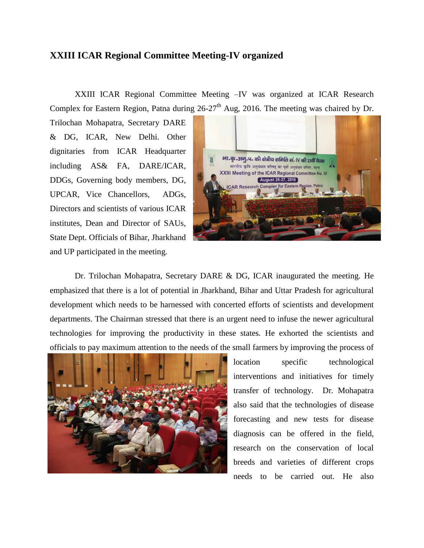## **XXIII ICAR Regional Committee Meeting-IV organized**

XXIII ICAR Regional Committee Meeting –IV was organized at ICAR Research Complex for Eastern Region, Patna during 26-27<sup>th</sup> Aug, 2016. The meeting was chaired by Dr.

Trilochan Mohapatra, Secretary DARE & DG, ICAR, New Delhi. Other dignitaries from ICAR Headquarter including AS& FA, DARE/ICAR, DDGs, Governing body members, DG, UPCAR, Vice Chancellors, ADGs, Directors and scientists of various ICAR institutes, Dean and Director of SAUs, State Dept. Officials of Bihar, Jharkhand and UP participated in the meeting.



Dr. Trilochan Mohapatra, Secretary DARE & DG, ICAR inaugurated the meeting. He emphasized that there is a lot of potential in Jharkhand, Bihar and Uttar Pradesh for agricultural development which needs to be harnessed with concerted efforts of scientists and development departments. The Chairman stressed that there is an urgent need to infuse the newer agricultural technologies for improving the productivity in these states. He exhorted the scientists and officials to pay maximum attention to the needs of the small farmers by improving the process of



location specific technological interventions and initiatives for timely transfer of technology. Dr. Mohapatra also said that the technologies of disease forecasting and new tests for disease diagnosis can be offered in the field, research on the conservation of local breeds and varieties of different crops needs to be carried out. He also